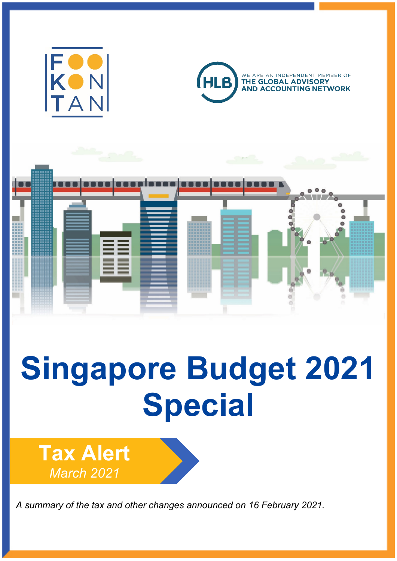





# **Singapore Budget 2021 Special**

**Tax Alert** *March 2021*

*A summary of the tax and other changes announced on 16 February 2021.*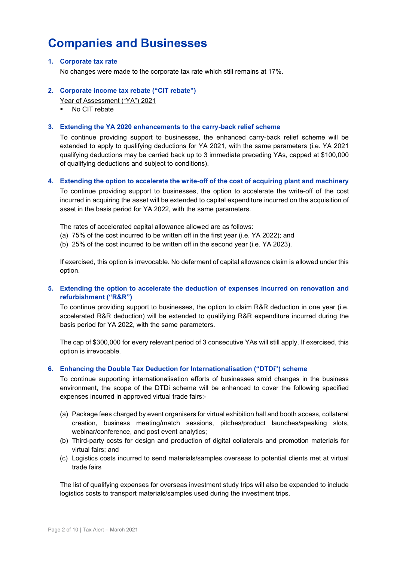## **Companies and Businesses**

### **1. Corporate tax rate**

No changes were made to the corporate tax rate which still remains at 17%.

### **2. Corporate income tax rebate ("CIT rebate")**

Year of Assessment ("YA") 2021

• No CIT rebate

### **3. Extending the YA 2020 enhancements to the carry-back relief scheme**

To continue providing support to businesses, the enhanced carry-back relief scheme will be extended to apply to qualifying deductions for YA 2021, with the same parameters (i.e. YA 2021 qualifying deductions may be carried back up to 3 immediate preceding YAs, capped at \$100,000 of qualifying deductions and subject to conditions).

### **4. Extending the option to accelerate the write-off of the cost of acquiring plant and machinery**

To continue providing support to businesses, the option to accelerate the write-off of the cost incurred in acquiring the asset will be extended to capital expenditure incurred on the acquisition of asset in the basis period for YA 2022, with the same parameters.

The rates of accelerated capital allowance allowed are as follows:

- (a) 75% of the cost incurred to be written off in the first year (i.e. YA 2022); and
- (b) 25% of the cost incurred to be written off in the second year (i.e. YA 2023).

If exercised, this option is irrevocable. No deferment of capital allowance claim is allowed under this option.

### **5. Extending the option to accelerate the deduction of expenses incurred on renovation and refurbishment ("R&R")**

To continue providing support to businesses, the option to claim R&R deduction in one year (i.e. accelerated R&R deduction) will be extended to qualifying R&R expenditure incurred during the basis period for YA 2022, with the same parameters.

The cap of \$300,000 for every relevant period of 3 consecutive YAs will still apply. If exercised, this option is irrevocable.

### **6. Enhancing the Double Tax Deduction for Internationalisation ("DTDi") scheme**

To continue supporting internationalisation efforts of businesses amid changes in the business environment, the scope of the DTDi scheme will be enhanced to cover the following specified expenses incurred in approved virtual trade fairs:-

- (a) Package fees charged by event organisers for virtual exhibition hall and booth access, collateral creation, business meeting/match sessions, pitches/product launches/speaking slots, webinar/conference, and post event analytics;
- (b) Third-party costs for design and production of digital collaterals and promotion materials for virtual fairs; and
- (c) Logistics costs incurred to send materials/samples overseas to potential clients met at virtual trade fairs

The list of qualifying expenses for overseas investment study trips will also be expanded to include logistics costs to transport materials/samples used during the investment trips.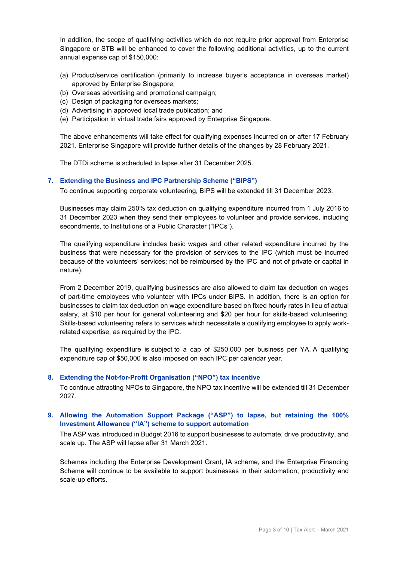In addition, the scope of qualifying activities which do not require prior approval from Enterprise Singapore or STB will be enhanced to cover the following additional activities, up to the current annual expense cap of \$150,000:

- (a) Product/service certification (primarily to increase buyer's acceptance in overseas market) approved by Enterprise Singapore;
- (b) Overseas advertising and promotional campaign;
- (c) Design of packaging for overseas markets;
- (d) Advertising in approved local trade publication; and
- (e) Participation in virtual trade fairs approved by Enterprise Singapore.

The above enhancements will take effect for qualifying expenses incurred on or after 17 February 2021. Enterprise Singapore will provide further details of the changes by 28 February 2021.

The DTDi scheme is scheduled to lapse after 31 December 2025.

### **7. Extending the Business and IPC Partnership Scheme ("BIPS")**

To continue supporting corporate volunteering, BIPS will be extended till 31 December 2023.

Businesses may claim 250% tax deduction on qualifying expenditure incurred from 1 July 2016 to 31 December 2023 when they send their employees to volunteer and provide services, including secondments, to Institutions of a Public Character ("IPCs").

The qualifying expenditure includes basic wages and other related expenditure incurred by the business that were necessary for the provision of services to the IPC (which must be incurred because of the volunteers' services; not be reimbursed by the IPC and not of private or capital in nature).

From 2 December 2019, qualifying businesses are also allowed to claim tax deduction on wages of part-time employees who volunteer with IPCs under BIPS. In addition, there is an option for businesses to claim tax deduction on wage expenditure based on fixed hourly rates in lieu of actual salary, at \$10 per hour for general volunteering and \$20 per hour for skills-based volunteering. Skills-based volunteering refers to services which necessitate a qualifying employee to apply workrelated expertise, as required by the IPC.

The qualifying expenditure is subject to a cap of \$250,000 per business per YA. A qualifying expenditure cap of \$50,000 is also imposed on each IPC per calendar year.

### **8. Extending the Not-for-Profit Organisation ("NPO") tax incentive**

To continue attracting NPOs to Singapore, the NPO tax incentive will be extended till 31 December 2027.

### **9. Allowing the Automation Support Package ("ASP") to lapse, but retaining the 100% Investment Allowance ("IA") scheme to support automation**

The ASP was introduced in Budget 2016 to support businesses to automate, drive productivity, and scale up. The ASP will lapse after 31 March 2021.

Schemes including the Enterprise Development Grant, IA scheme, and the Enterprise Financing Scheme will continue to be available to support businesses in their automation, productivity and scale-up efforts.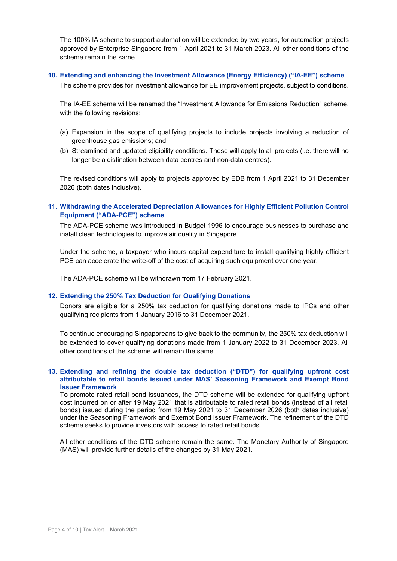The 100% IA scheme to support automation will be extended by two years, for automation projects approved by Enterprise Singapore from 1 April 2021 to 31 March 2023. All other conditions of the scheme remain the same.

### **10. Extending and enhancing the Investment Allowance (Energy Efficiency) ("IA-EE") scheme**

The scheme provides for investment allowance for EE improvement projects, subject to conditions.

The IA-EE scheme will be renamed the "Investment Allowance for Emissions Reduction" scheme, with the following revisions:

- (a) Expansion in the scope of qualifying projects to include projects involving a reduction of greenhouse gas emissions; and
- (b) Streamlined and updated eligibility conditions. These will apply to all projects (i.e. there will no longer be a distinction between data centres and non-data centres).

The revised conditions will apply to projects approved by EDB from 1 April 2021 to 31 December 2026 (both dates inclusive).

### **11. Withdrawing the Accelerated Depreciation Allowances for Highly Efficient Pollution Control Equipment ("ADA-PCE") scheme**

The ADA-PCE scheme was introduced in Budget 1996 to encourage businesses to purchase and install clean technologies to improve air quality in Singapore.

Under the scheme, a taxpayer who incurs capital expenditure to install qualifying highly efficient PCE can accelerate the write-off of the cost of acquiring such equipment over one year.

The ADA-PCE scheme will be withdrawn from 17 February 2021.

### **12. Extending the 250% Tax Deduction for Qualifying Donations**

Donors are eligible for a 250% tax deduction for qualifying donations made to IPCs and other qualifying recipients from 1 January 2016 to 31 December 2021.

To continue encouraging Singaporeans to give back to the community, the 250% tax deduction will be extended to cover qualifying donations made from 1 January 2022 to 31 December 2023. All other conditions of the scheme will remain the same.

### **13. Extending and refining the double tax deduction ("DTD") for qualifying upfront cost attributable to retail bonds issued under MAS' Seasoning Framework and Exempt Bond Issuer Framework**

To promote rated retail bond issuances, the DTD scheme will be extended for qualifying upfront cost incurred on or after 19 May 2021 that is attributable to rated retail bonds (instead of all retail bonds) issued during the period from 19 May 2021 to 31 December 2026 (both dates inclusive) under the Seasoning Framework and Exempt Bond Issuer Framework. The refinement of the DTD scheme seeks to provide investors with access to rated retail bonds.

All other conditions of the DTD scheme remain the same. The Monetary Authority of Singapore (MAS) will provide further details of the changes by 31 May 2021.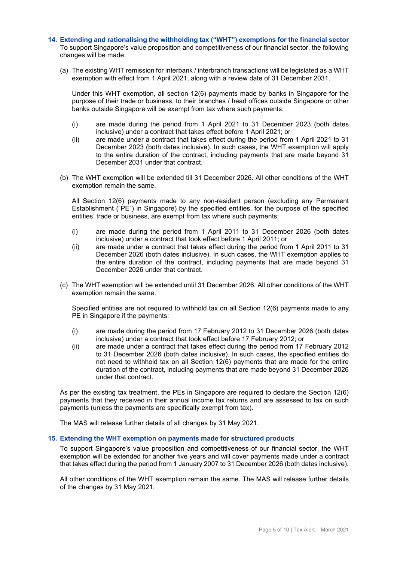- **14. Extending and rationalising the withholding tax ("WHT") exemptions for the financial sector** To support Singapore's value proposition and competitiveness of our financial sector, the following changes will be made:
	- (a) The existing WHT remission for interbank / interbranch transactions will be legislated as a WHT exemption with effect from 1 April 2021, along with a review date of 31 December 2031.

Under this WHT exemption, all section 12(6) payments made by banks in Singapore for the purpose of their trade or business, to their branches / head offices outside Singapore or other banks outside Singapore will be exempt from tax where such payments:

- (i) are made during the period from 1 April 2021 to 31 December 2023 (both dates inclusive) under a contract that takes effect before 1 April 2021; or
- (ii) are made under a contract that takes effect during the period from 1 April 2021 to 31 December 2023 (both dates inclusive). In such cases, the WHT exemption will apply to the entire duration of the contract, including payments that are made beyond 31 December 2031 under that contract.
- (b) The WHT exemption will be extended till 31 December 2026. All other conditions of the WHT exemption remain the same.

All Section 12(6) payments made to any non-resident person (excluding any Permanent Establishment ("PE") in Singapore) by the specified entities, for the purpose of the specified entities' trade or business, are exempt from tax where such payments:

- (i) are made during the period from 1 April 2011 to 31 December 2026 (both dates inclusive) under a contract that took effect before 1 April 2011; or
- (ii) are made under a contract that takes effect during the period from 1 April 2011 to 31 December 2026 (both dates inclusive). In such cases, the WHT exemption applies to the entire duration of the contract, including payments that are made beyond 31 December 2026 under that contract.
- (c) The WHT exemption will be extended until 31 December 2026. All other conditions of the WHT exemption remain the same.

Specified entities are not required to withhold tax on all Section 12(6) payments made to any PE in Singapore if the payments:

- (i) are made during the period from 17 February 2012 to 31 December 2026 (both dates inclusive) under a contract that took effect before 17 February 2012; or
- (ii) are made under a contract that takes effect during the period from 17 February 2012 to 31 December 2026 (both dates inclusive). In such cases, the specified entities do not need to withhold tax on all Section 12(6) payments that are made for the entire duration of the contract, including payments that are made beyond 31 December 2026 under that contract.

As per the existing tax treatment, the PEs in Singapore are required to declare the Section 12(6) payments that they received in their annual income tax returns and are assessed to tax on such payments (unless the payments are specifically exempt from tax).

The MAS will release further details of all changes by 31 May 2021.

### **15. Extending the WHT exemption on payments made for structured products**

To support Singapore's value proposition and competitiveness of our financial sector, the WHT exemption will be extended for another five years and will cover payments made under a contract that takes effect during the period from 1 January 2007 to 31 December 2026 (both dates inclusive).

All other conditions of the WHT exemption remain the same. The MAS will release further details of the changes by 31 May 2021.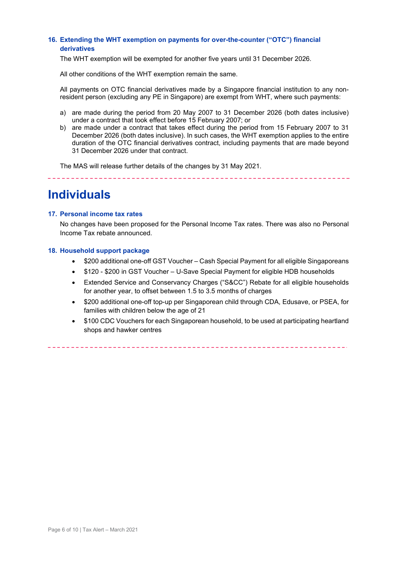### **16. Extending the WHT exemption on payments for over-the-counter ("OTC") financial derivatives**

The WHT exemption will be exempted for another five years until 31 December 2026.

All other conditions of the WHT exemption remain the same.

All payments on OTC financial derivatives made by a Singapore financial institution to any nonresident person (excluding any PE in Singapore) are exempt from WHT, where such payments:

- a) are made during the period from 20 May 2007 to 31 December 2026 (both dates inclusive) under a contract that took effect before 15 February 2007; or
- b) are made under a contract that takes effect during the period from 15 February 2007 to 31 December 2026 (both dates inclusive). In such cases, the WHT exemption applies to the entire duration of the OTC financial derivatives contract, including payments that are made beyond 31 December 2026 under that contract.

\_\_\_\_\_\_\_\_\_\_\_\_\_\_\_\_\_\_\_\_\_\_\_\_\_\_

The MAS will release further details of the changes by 31 May 2021.

\_\_\_\_\_\_\_\_\_\_\_\_\_\_\_\_\_\_\_\_\_\_\_\_\_\_\_\_\_\_\_\_\_

### **Individuals**

### **17. Personal income tax rates**

No changes have been proposed for the Personal Income Tax rates. There was also no Personal Income Tax rebate announced.

### **18. Household support package**

- \$200 additional one-off GST Voucher Cash Special Payment for all eligible Singaporeans
- \$120 \$200 in GST Voucher U-Save Special Payment for eligible HDB households
- Extended Service and Conservancy Charges ("S&CC") Rebate for all eligible households for another year, to offset between 1.5 to 3.5 months of charges
- \$200 additional one-off top-up per Singaporean child through CDA, Edusave, or PSEA, for families with children below the age of 21
- \$100 CDC Vouchers for each Singaporean household, to be used at participating heartland shops and hawker centres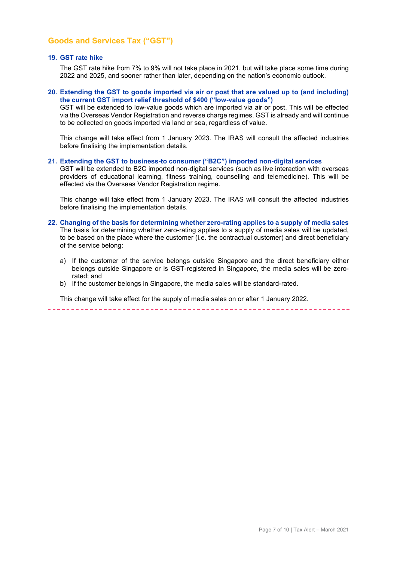### **Goods and Services Tax ("GST")**

### **19. GST rate hike**

The GST rate hike from 7% to 9% will not take place in 2021, but will take place some time during 2022 and 2025, and sooner rather than later, depending on the nation's economic outlook.

### **20. Extending the GST to goods imported via air or post that are valued up to (and including) the current GST import relief threshold of \$400 ("low-value goods")**

GST will be extended to low-value goods which are imported via air or post. This will be effected via the Overseas Vendor Registration and reverse charge regimes. GST is already and will continue to be collected on goods imported via land or sea, regardless of value.

This change will take effect from 1 January 2023. The IRAS will consult the affected industries before finalising the implementation details.

#### **21. Extending the GST to business-to consumer ("B2C") imported non-digital services**

GST will be extended to B2C imported non-digital services (such as live interaction with overseas providers of educational learning, fitness training, counselling and telemedicine). This will be effected via the Overseas Vendor Registration regime.

This change will take effect from 1 January 2023. The IRAS will consult the affected industries before finalising the implementation details.

- **22. Changing of the basis for determining whether zero-rating applies to a supply of media sales** The basis for determining whether zero-rating applies to a supply of media sales will be updated, to be based on the place where the customer (i.e. the contractual customer) and direct beneficiary of the service belong:
	- a) If the customer of the service belongs outside Singapore and the direct beneficiary either belongs outside Singapore or is GST-registered in Singapore, the media sales will be zerorated; and
	- b) If the customer belongs in Singapore, the media sales will be standard-rated.

This change will take effect for the supply of media sales on or after 1 January 2022.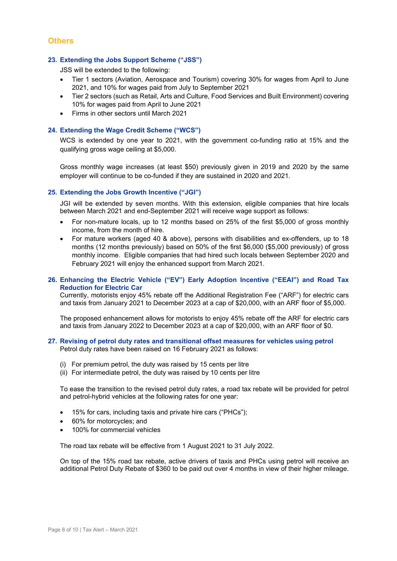### **Others**

### **23. Extending the Jobs Support Scheme ("JSS")**

JSS will be extended to the following:

- Tier 1 sectors (Aviation, Aerospace and Tourism) covering 30% for wages from April to June 2021, and 10% for wages paid from July to September 2021
- Tier 2 sectors (such as Retail, Arts and Culture, Food Services and Built Environment) covering 10% for wages paid from April to June 2021
- Firms in other sectors until March 2021

### **24. Extending the Wage Credit Scheme ("WCS")**

WCS is extended by one year to 2021, with the government co-funding ratio at 15% and the qualifying gross wage ceiling at \$5,000.

Gross monthly wage increases (at least \$50) previously given in 2019 and 2020 by the same employer will continue to be co-funded if they are sustained in 2020 and 2021.

### **25. Extending the Jobs Growth Incentive ("JGI")**

JGI will be extended by seven months. With this extension, eligible companies that hire locals between March 2021 and end-September 2021 will receive wage support as follows:

- For non-mature locals, up to 12 months based on 25% of the first \$5,000 of gross monthly income, from the month of hire.
- For mature workers (aged 40 & above), persons with disabilities and ex-offenders, up to 18 months (12 months previously) based on 50% of the first \$6,000 (\$5,000 previously) of gross monthly income. Eligible companies that had hired such locals between September 2020 and February 2021 will enjoy the enhanced support from March 2021.

### **26. Enhancing the Electric Vehicle ("EV") Early Adoption Incentive ("EEAI") and Road Tax Reduction for Electric Car**

Currently, motorists enjoy 45% rebate off the Additional Registration Fee ("ARF") for electric cars and taxis from January 2021 to December 2023 at a cap of \$20,000, with an ARF floor of \$5,000.

The proposed enhancement allows for motorists to enjoy 45% rebate off the ARF for electric cars and taxis from January 2022 to December 2023 at a cap of \$20,000, with an ARF floor of \$0.

### **27. Revising of petrol duty rates and transitional offset measures for vehicles using petrol** Petrol duty rates have been raised on 16 February 2021 as follows:

- (i) For premium petrol, the duty was raised by 15 cents per litre
- (ii) For intermediate petrol, the duty was raised by 10 cents per litre

To ease the transition to the revised petrol duty rates, a road tax rebate will be provided for petrol and petrol-hybrid vehicles at the following rates for one year:

- 15% for cars, including taxis and private hire cars ("PHCs");
- 60% for motorcycles; and
- 100% for commercial vehicles

The road tax rebate will be effective from 1 August 2021 to 31 July 2022.

On top of the 15% road tax rebate, active drivers of taxis and PHCs using petrol will receive an additional Petrol Duty Rebate of \$360 to be paid out over 4 months in view of their higher mileage.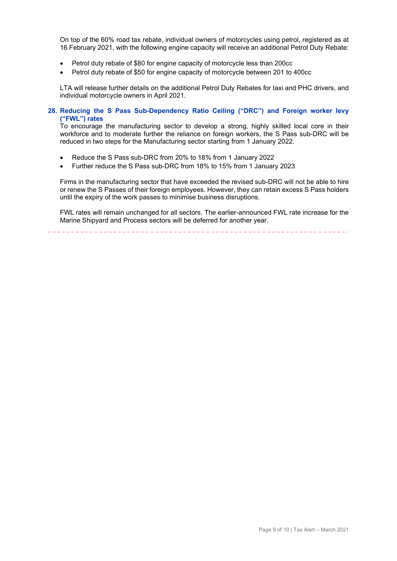On top of the 60% road tax rebate, individual owners of motorcycles using petrol, registered as at 16 February 2021, with the following engine capacity will receive an additional Petrol Duty Rebate:

- Petrol duty rebate of \$80 for engine capacity of motorcycle less than 200cc
- Petrol duty rebate of \$50 for engine capacity of motorcycle between 201 to 400cc

LTA will release further details on the additional Petrol Duty Rebates for taxi and PHC drivers, and individual motorcycle owners in April 2021.

### **28. Reducing the S Pass Sub-Dependency Ratio Ceiling ("DRC") and Foreign worker levy ("FWL") rates**

To encourage the manufacturing sector to develop a strong, highly skilled local core in their workforce and to moderate further the reliance on foreign workers, the S Pass sub-DRC will be reduced in two steps for the Manufacturing sector starting from 1 January 2022.

- Reduce the S Pass sub-DRC from 20% to 18% from 1 January 2022
- Further reduce the S Pass sub-DRC from 18% to 15% from 1 January 2023

Firms in the manufacturing sector that have exceeded the revised sub-DRC will not be able to hire or renew the S Passes of their foreign employees. However, they can retain excess S Pass holders until the expiry of the work passes to minimise business disruptions.

FWL rates will remain unchanged for all sectors. The earlier-announced FWL rate increase for the Marine Shipyard and Process sectors will be deferred for another year.